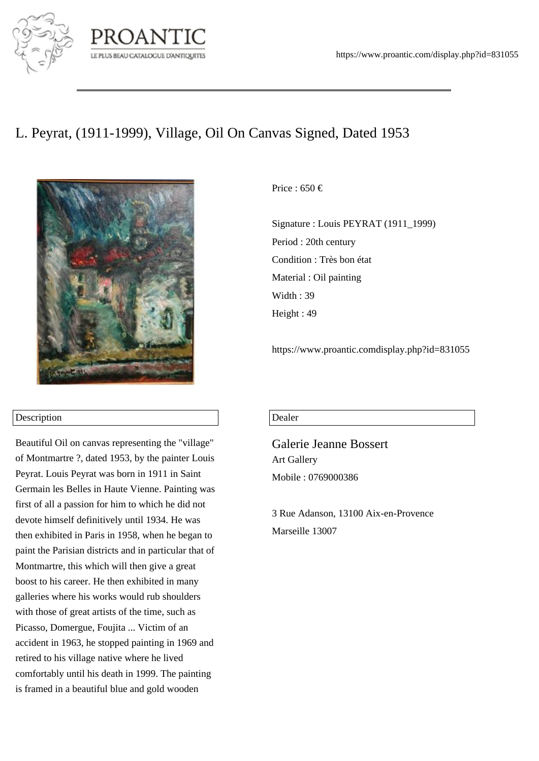

## LE PLUS BEAU CATALOGUE D'ANTIQUITES

## L. Peyrat, (1911-1999), Village, Oil On Canvas Signed, Dated 1953



## Description

Beautiful Oil on canvas representing the "village" of Montmartre ?, dated 1953, by the painter Louis Peyrat. Louis Peyrat was born in 1911 in Saint Germain les Belles in Haute Vienne. Painting was first of all a passion for him to which he did not devote himself definitively until 1934. He was then exhibited in Paris in 1958, when he began to paint the Parisian districts and in particular that of Montmartre, this which will then give a great boost to his career. He then exhibited in many galleries where his works would rub shoulders with those of great artists of the time, such as Picasso, Domergue, Foujita ... Victim of an accident in 1963, he stopped painting in 1969 and retired to his village native where he lived comfortably until his death in 1999. The painting is framed in a beautiful blue and gold wooden

Price : 650  $\in$ 

Signature : Louis PEYRAT (1911\_1999) Period : 20th century Condition : Très bon état Material : Oil painting Width: 39 Height : 49

https://www.proantic.comdisplay.php?id=831055

## Dealer

Galerie Jeanne Bossert Art Gallery Mobile : 0769000386

3 Rue Adanson, 13100 Aix-en-Provence Marseille 13007